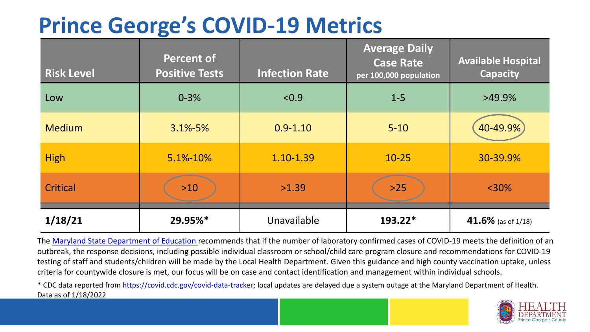## **Prince George's COVID-19 Metrics**

| <b>Risk Level</b> | <b>Percent of</b><br><b>Positive Tests</b> | <b>Infection Rate</b> | <b>Average Daily</b><br><b>Case Rate</b><br>per 100,000 population | <b>Available Hospital</b><br><b>Capacity</b> |
|-------------------|--------------------------------------------|-----------------------|--------------------------------------------------------------------|----------------------------------------------|
| Low               | $0 - 3%$                                   | < 0.9                 | $1 - 5$                                                            | $>49.9\%$                                    |
| <b>Medium</b>     | $3.1\% - 5\%$                              | $0.9 - 1.10$          | $5 - 10$                                                           | 40-49.9%                                     |
| <b>High</b>       | 5.1%-10%                                   | 1.10-1.39             | $10 - 25$                                                          | 30-39.9%                                     |
| Critical          | $>10$                                      | >1.39                 | $>25$                                                              | $<$ 30%                                      |
| 1/18/21           | 29.95%*                                    | Unavailable           | 193.22*                                                            | 41.6% (as of 1/18)                           |

The [Maryland State Department of Education](https://earlychildhood.marylandpublicschools.org/system/files/filedepot/3/covid_guidance_full_080420.pdf) recommends that if the number of laboratory confirmed cases of COVID-19 meets the definition of an outbreak, the response decisions, including possible individual classroom or school/child care program closure and recommendations for COVID-19 testing of staff and students/children will be made by the Local Health Department. Given this guidance and high county vaccination uptake, unless criteria for countywide closure is met, our focus will be on case and contact identification and management within individual schools.

\* CDC data reported from <https://covid.cdc.gov/covid-data-tracker>; local updates are delayed due a system outage at the Maryland Department of Health. Data as of 1/18/2022

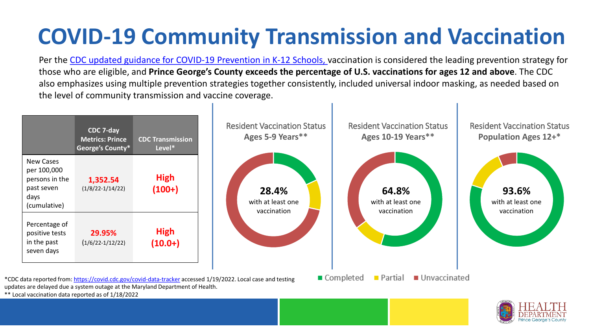## **COVID-19 Community Transmission and Vaccination**

Per the [CDC updated guidance for COVID-19 Prevention in K-12 Schools,](https://www.cdc.gov/coronavirus/2019-ncov/community/schools-childcare/k-12-guidance.html) vaccination is considered the leading prevention strategy for those who are eligible, and **Prince George's County exceeds the percentage of U.S. vaccinations for ages 12 and above**. The CDC also emphasizes using multiple prevention strategies together consistently, included universal indoor masking, as needed based on the level of community transmission and vaccine coverage.